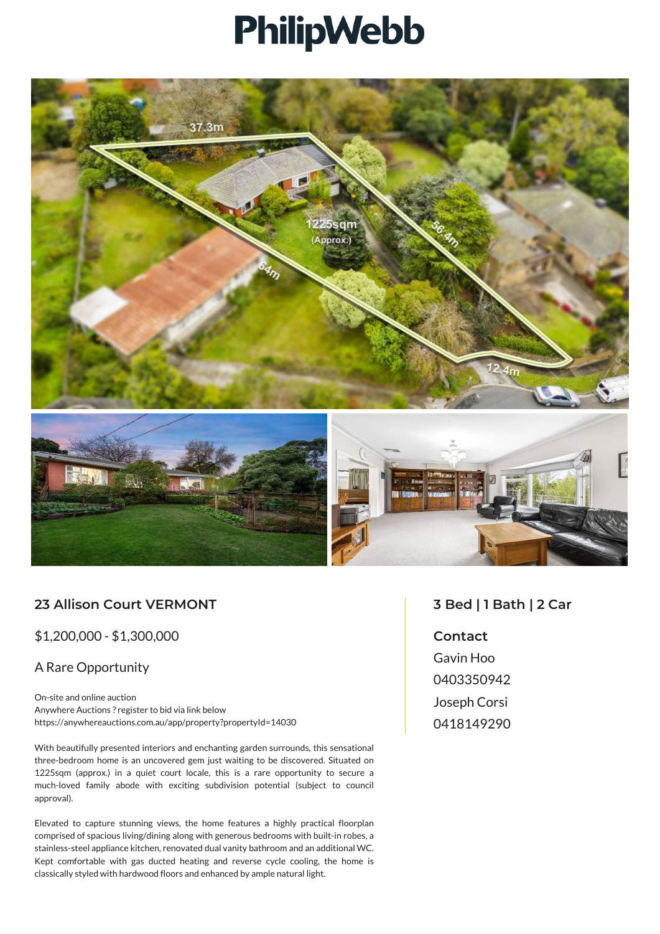## PhilipWebb



## **23 Allison Court VERMONT**

\$1,200,000 - \$1,300,000

## A Rare Opportunity

On-site and online auction Anywhere Auctions ? register to bid via link below https://anywhereauctions.com.au/app/property?propertyId=14030

With beautifully presented interiors and enchanting garden surrounds, this sensational three-bedroom home is an uncovered gem just waiting to be discovered. Situated on 1225sqm (approx.) in a quiet court locale, this is a rare opportunity to secure a much-loved family abode with exciting subdivision potential (subject to council approval).

Elevated to capture stunning views, the home features a highly practical floorplan comprised of spacious living/dining along with generous bedrooms with built-in robes, a stainless-steel appliance kitchen, renovated dual vanity bathroom and an additional WC. Kept comfortable with gas ducted heating and reverse cycle cooling, the home is classically styled with hardwood floors and enhanced by ample natural light.

## **3 Bed | 1 Bath | 2 Car**

**Contact** Gavin Hoo 0403350942 Joseph Corsi 0418149290